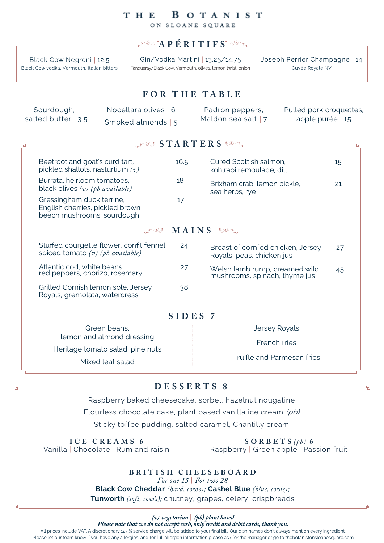### **BOTANIST** T H E

ON SLOANE SQUARE

## **APÉRITIFS**

Black Cow Negroni *|* 12.5 Black Cow vodka, Vermouth, Italian bitters

Gin/Vodka Martini *|* 13.25/14.75 Tanqueray/Black Cow, Vermouth, olives, lemon twist, onion Joseph Perrier Champagne *|* 14 Cuvée Royale NV

# **F O R T H E TA B LE**

| Sourdough,            | Nocellara olives 6 | Padrón peppers,       | Pulled pork croquettes, |
|-----------------------|--------------------|-----------------------|-------------------------|
| salted butter $ 3.5 $ | Smoked almonds   5 | Maldon sea salt $ 7 $ | apple purée   $15$      |

| $\mathbb{R}^3$ STARTERS $\mathbb{S}$ .                                                     |         |                                                                |    |  |  |  |
|--------------------------------------------------------------------------------------------|---------|----------------------------------------------------------------|----|--|--|--|
| Beetroot and goat's curd tart,<br>pickled shallots, nasturtium $(v)$                       | 16.5    | Cured Scottish salmon,<br>kohlrabi remoulade, dill             | 15 |  |  |  |
| Burrata, heirloom tomatoes,<br>black olives $(v)$ (pb available)                           | 18      | Brixham crab, lemon pickle,<br>21<br>sea herbs, rye            |    |  |  |  |
| Gressingham duck terrine,<br>English cherries, pickled brown<br>beech mushrooms, sourdough | 17      |                                                                |    |  |  |  |
| MAINS<br>$\mathbb{C}$                                                                      |         |                                                                |    |  |  |  |
| Stuffed courgette flower, confit fennel,<br>spiced tomato $(v)$ (pb available)             | 24      | Breast of cornfed chicken, Jersey<br>Royals, peas, chicken jus | 27 |  |  |  |
| Atlantic cod, white beans,<br>red peppers, chorizo, rosemary                               | 27      | Welsh lamb rump, creamed wild<br>mushrooms, spinach, thyme jus | 45 |  |  |  |
| Grilled Cornish lemon sole, Jersey<br>Royals, gremolata, watercress                        | 38      |                                                                |    |  |  |  |
|                                                                                            | SIDES 7 |                                                                |    |  |  |  |
| Green beans,                                                                               |         | <b>Jersey Royals</b>                                           |    |  |  |  |
| lemon and almond dressing                                                                  |         | French fries                                                   |    |  |  |  |
| Heritage tomato salad, pine nuts<br>Mixed leaf salad                                       |         | Truffle and Parmesan fries                                     |    |  |  |  |

## **DESSERTS 8**

Raspberry baked cheesecake, sorbet, hazelnut nougatine Flourless chocolate cake, plant based vanilla ice cream (pb) Sticky toffee pudding, salted caramel, Chantilly cream

**ICE CREAMS 6** Vanilla | Chocolate | Rum and raisin

**SORBETS** *(pb)* **6** Raspberry | Green apple | Passion fruit

**BRITISH CHEESEBOARD**

*For one 15* | *For two 28*

**Black Cow Cheddar** *(hard, cow's);* **Cashel Blue** *(blue, cow's);*

**Tunworth** *(soft, cow's);* chutney, grapes, celery, crispbreads

*(v) vegetarian* | *(pb) plant based*

*Please note that we do not accept cash, only credit and debit cards, thank you.*

All prices include VAT. A discretionary 12.5% service charge will be added to your final bill. Our dish names don't always mention every ingredient. Please let our team know if you have any allergies, and for full allergen information please ask for the manager or go to thebotanistonsloanesquare.com